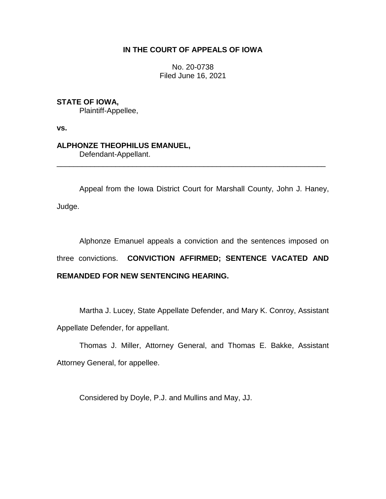# **IN THE COURT OF APPEALS OF IOWA**

No. 20-0738 Filed June 16, 2021

## **STATE OF IOWA,**

Plaintiff-Appellee,

**vs.**

## **ALPHONZE THEOPHILUS EMANUEL,**

Defendant-Appellant.

Appeal from the Iowa District Court for Marshall County, John J. Haney, Judge.

\_\_\_\_\_\_\_\_\_\_\_\_\_\_\_\_\_\_\_\_\_\_\_\_\_\_\_\_\_\_\_\_\_\_\_\_\_\_\_\_\_\_\_\_\_\_\_\_\_\_\_\_\_\_\_\_\_\_\_\_\_\_\_\_

Alphonze Emanuel appeals a conviction and the sentences imposed on three convictions. **CONVICTION AFFIRMED; SENTENCE VACATED AND REMANDED FOR NEW SENTENCING HEARING.**

Martha J. Lucey, State Appellate Defender, and Mary K. Conroy, Assistant Appellate Defender, for appellant.

Thomas J. Miller, Attorney General, and Thomas E. Bakke, Assistant Attorney General, for appellee.

Considered by Doyle, P.J. and Mullins and May, JJ.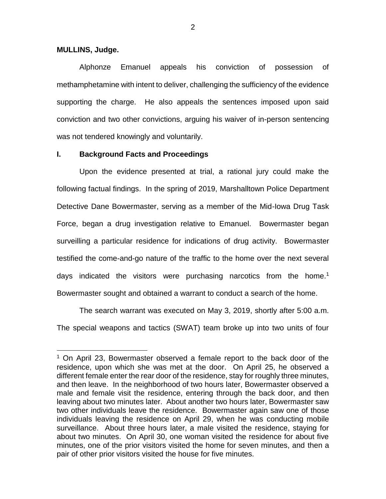### **MULLINS, Judge.**

 $\overline{a}$ 

Alphonze Emanuel appeals his conviction of possession of methamphetamine with intent to deliver, challenging the sufficiency of the evidence supporting the charge. He also appeals the sentences imposed upon said conviction and two other convictions, arguing his waiver of in-person sentencing was not tendered knowingly and voluntarily.

### **I. Background Facts and Proceedings**

Upon the evidence presented at trial, a rational jury could make the following factual findings. In the spring of 2019, Marshalltown Police Department Detective Dane Bowermaster, serving as a member of the Mid-Iowa Drug Task Force, began a drug investigation relative to Emanuel. Bowermaster began surveilling a particular residence for indications of drug activity. Bowermaster testified the come-and-go nature of the traffic to the home over the next several days indicated the visitors were purchasing narcotics from the home.<sup>1</sup> Bowermaster sought and obtained a warrant to conduct a search of the home.

The search warrant was executed on May 3, 2019, shortly after 5:00 a.m. The special weapons and tactics (SWAT) team broke up into two units of four

<sup>&</sup>lt;sup>1</sup> On April 23, Bowermaster observed a female report to the back door of the residence, upon which she was met at the door. On April 25, he observed a different female enter the rear door of the residence, stay for roughly three minutes, and then leave. In the neighborhood of two hours later, Bowermaster observed a male and female visit the residence, entering through the back door, and then leaving about two minutes later. About another two hours later, Bowermaster saw two other individuals leave the residence. Bowermaster again saw one of those individuals leaving the residence on April 29, when he was conducting mobile surveillance. About three hours later, a male visited the residence, staying for about two minutes. On April 30, one woman visited the residence for about five minutes, one of the prior visitors visited the home for seven minutes, and then a pair of other prior visitors visited the house for five minutes.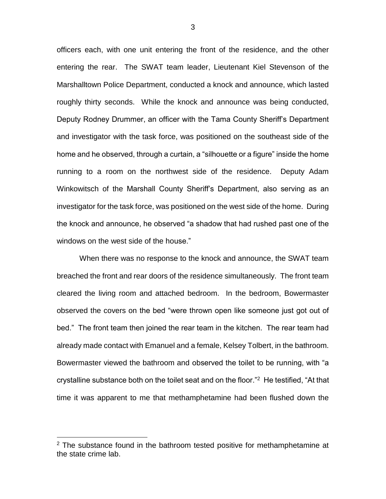officers each, with one unit entering the front of the residence, and the other entering the rear. The SWAT team leader, Lieutenant Kiel Stevenson of the Marshalltown Police Department, conducted a knock and announce, which lasted roughly thirty seconds. While the knock and announce was being conducted, Deputy Rodney Drummer, an officer with the Tama County Sheriff's Department and investigator with the task force, was positioned on the southeast side of the home and he observed, through a curtain, a "silhouette or a figure" inside the home running to a room on the northwest side of the residence. Deputy Adam Winkowitsch of the Marshall County Sheriff's Department, also serving as an investigator for the task force, was positioned on the west side of the home. During the knock and announce, he observed "a shadow that had rushed past one of the windows on the west side of the house."

When there was no response to the knock and announce, the SWAT team breached the front and rear doors of the residence simultaneously. The front team cleared the living room and attached bedroom. In the bedroom, Bowermaster observed the covers on the bed "were thrown open like someone just got out of bed." The front team then joined the rear team in the kitchen. The rear team had already made contact with Emanuel and a female, Kelsey Tolbert, in the bathroom. Bowermaster viewed the bathroom and observed the toilet to be running, with "a crystalline substance both on the toilet seat and on the floor."<sup>2</sup> He testified, "At that time it was apparent to me that methamphetamine had been flushed down the

 $\overline{a}$ 

 $2$  The substance found in the bathroom tested positive for methamphetamine at the state crime lab.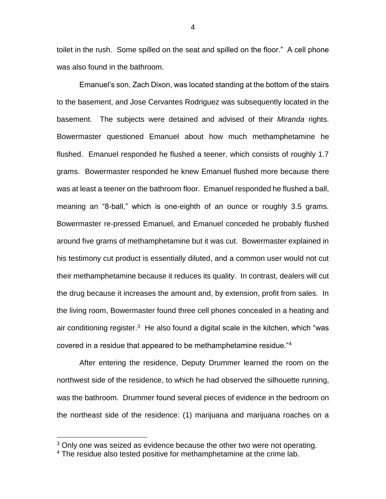toilet in the rush. Some spilled on the seat and spilled on the floor." A cell phone was also found in the bathroom.

Emanuel's son, Zach Dixon, was located standing at the bottom of the stairs to the basement, and Jose Cervantes Rodriguez was subsequently located in the basement. The subjects were detained and advised of their *Miranda* rights. Bowermaster questioned Emanuel about how much methamphetamine he flushed. Emanuel responded he flushed a teener, which consists of roughly 1.7 grams. Bowermaster responded he knew Emanuel flushed more because there was at least a teener on the bathroom floor. Emanuel responded he flushed a ball, meaning an "8-ball," which is one-eighth of an ounce or roughly 3.5 grams. Bowermaster re-pressed Emanuel, and Emanuel conceded he probably flushed around five grams of methamphetamine but it was cut. Bowermaster explained in his testimony cut product is essentially diluted, and a common user would not cut their methamphetamine because it reduces its quality. In contrast, dealers will cut the drug because it increases the amount and, by extension, profit from sales. In the living room, Bowermaster found three cell phones concealed in a heating and air conditioning register. $3$  He also found a digital scale in the kitchen, which "was covered in a residue that appeared to be methamphetamine residue."<sup>4</sup>

After entering the residence, Deputy Drummer learned the room on the northwest side of the residence, to which he had observed the silhouette running, was the bathroom. Drummer found several pieces of evidence in the bedroom on the northeast side of the residence: (1) marijuana and marijuana roaches on a

 $\overline{a}$ 

4

 $3$  Only one was seized as evidence because the other two were not operating.

<sup>&</sup>lt;sup>4</sup> The residue also tested positive for methamphetamine at the crime lab.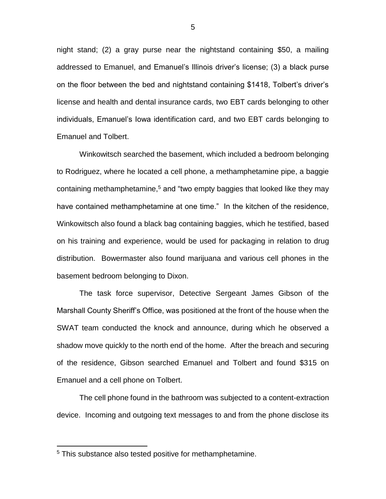night stand; (2) a gray purse near the nightstand containing \$50, a mailing addressed to Emanuel, and Emanuel's Illinois driver's license; (3) a black purse on the floor between the bed and nightstand containing \$1418, Tolbert's driver's license and health and dental insurance cards, two EBT cards belonging to other individuals, Emanuel's Iowa identification card, and two EBT cards belonging to Emanuel and Tolbert.

Winkowitsch searched the basement, which included a bedroom belonging to Rodriguez, where he located a cell phone, a methamphetamine pipe, a baggie containing methamphetamine,<sup>5</sup> and "two empty baggies that looked like they may have contained methamphetamine at one time." In the kitchen of the residence, Winkowitsch also found a black bag containing baggies, which he testified, based on his training and experience, would be used for packaging in relation to drug distribution. Bowermaster also found marijuana and various cell phones in the basement bedroom belonging to Dixon.

The task force supervisor, Detective Sergeant James Gibson of the Marshall County Sheriff's Office, was positioned at the front of the house when the SWAT team conducted the knock and announce, during which he observed a shadow move quickly to the north end of the home. After the breach and securing of the residence, Gibson searched Emanuel and Tolbert and found \$315 on Emanuel and a cell phone on Tolbert.

The cell phone found in the bathroom was subjected to a content-extraction device. Incoming and outgoing text messages to and from the phone disclose its

 $\overline{a}$ 

<sup>&</sup>lt;sup>5</sup> This substance also tested positive for methamphetamine.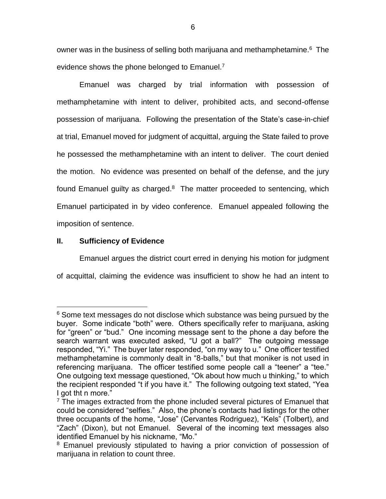owner was in the business of selling both marijuana and methamphetamine.<sup>6</sup> The evidence shows the phone belonged to Emanuel.<sup>7</sup>

Emanuel was charged by trial information with possession of methamphetamine with intent to deliver, prohibited acts, and second-offense possession of marijuana. Following the presentation of the State's case-in-chief at trial, Emanuel moved for judgment of acquittal, arguing the State failed to prove he possessed the methamphetamine with an intent to deliver. The court denied the motion. No evidence was presented on behalf of the defense, and the jury found Emanuel guilty as charged. $8$  The matter proceeded to sentencing, which Emanuel participated in by video conference. Emanuel appealed following the imposition of sentence.

## **II. Sufficiency of Evidence**

 $\overline{a}$ 

Emanuel argues the district court erred in denying his motion for judgment of acquittal, claiming the evidence was insufficient to show he had an intent to

<sup>&</sup>lt;sup>6</sup> Some text messages do not disclose which substance was being pursued by the buyer. Some indicate "both" were. Others specifically refer to marijuana, asking for "green" or "bud." One incoming message sent to the phone a day before the search warrant was executed asked, "U got a ball?" The outgoing message responded, "Yi." The buyer later responded, "on my way to u." One officer testified methamphetamine is commonly dealt in "8-balls," but that moniker is not used in referencing marijuana. The officer testified some people call a "teener" a "tee." One outgoing text message questioned, "Ok about how much u thinking," to which the recipient responded "t if you have it." The following outgoing text stated, "Yea I got tht n more."

 $7$  The images extracted from the phone included several pictures of Emanuel that could be considered "selfies." Also, the phone's contacts had listings for the other three occupants of the home, "Jose" (Cervantes Rodriguez), "Kels" (Tolbert), and "Zach" (Dixon), but not Emanuel. Several of the incoming text messages also identified Emanuel by his nickname, "Mo."

<sup>&</sup>lt;sup>8</sup> Emanuel previously stipulated to having a prior conviction of possession of marijuana in relation to count three.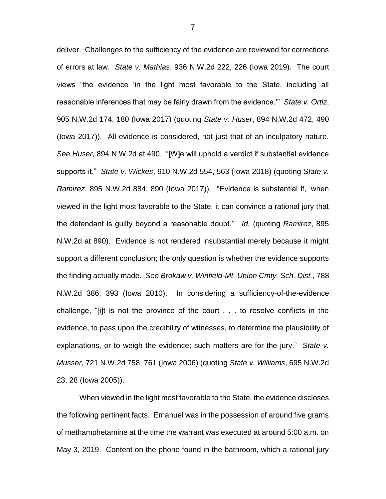deliver. Challenges to the sufficiency of the evidence are reviewed for corrections of errors at law. *State v. Mathias*, 936 N.W.2d 222, 226 (Iowa 2019).The court views "the evidence 'in the light most favorable to the State, including all reasonable inferences that may be fairly drawn from the evidence.'" *State v. Ortiz*, 905 N.W.2d 174, 180 (Iowa 2017) (quoting *State v. Huser*, 894 N.W.2d 472, 490 (Iowa 2017)). All evidence is considered, not just that of an inculpatory nature. *See Huser*, 894 N.W.2d at 490. "[W]e will uphold a verdict if substantial evidence supports it." *State v. Wickes*, 910 N.W.2d 554, 563 (Iowa 2018) (quoting *State v. Ramirez*, 895 N.W.2d 884, 890 (Iowa 2017))."Evidence is substantial if, 'when viewed in the light most favorable to the State, it can convince a rational jury that the defendant is guilty beyond a reasonable doubt.'" *Id.* (quoting *Ramirez*, 895 N.W.2d at 890). Evidence is not rendered insubstantial merely because it might support a different conclusion; the only question is whether the evidence supports the finding actually made. *See Brokaw v. Winfield-Mt. Union Cmty. Sch. Dist.*, 788 N.W.2d 386, 393 (Iowa 2010). In considering a sufficiency-of-the-evidence challenge, "[i]t is not the province of the court . . . to resolve conflicts in the evidence, to pass upon the credibility of witnesses, to determine the plausibility of explanations, or to weigh the evidence; such matters are for the jury." *State v. Musser*, 721 N.W.2d 758, 761 (Iowa 2006) (quoting *State v. Williams*, 695 N.W.2d 23, 28 (Iowa 2005)).

When viewed in the light most favorable to the State, the evidence discloses the following pertinent facts. Emanuel was in the possession of around five grams of methamphetamine at the time the warrant was executed at around 5:00 a.m. on May 3, 2019. Content on the phone found in the bathroom, which a rational jury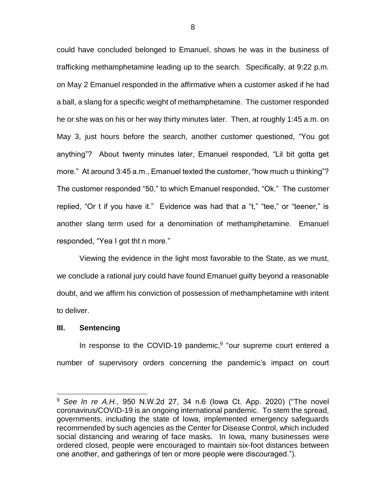could have concluded belonged to Emanuel, shows he was in the business of trafficking methamphetamine leading up to the search. Specifically, at 9:22 p.m. on May 2 Emanuel responded in the affirmative when a customer asked if he had a ball, a slang for a specific weight of methamphetamine. The customer responded he or she was on his or her way thirty minutes later. Then, at roughly 1:45 a.m. on May 3, just hours before the search, another customer questioned, "You got anything"? About twenty minutes later, Emanuel responded, "Lil bit gotta get more." At around 3:45 a.m., Emanuel texted the customer, "how much u thinking"? The customer responded "50," to which Emanuel responded, "Ok." The customer replied, "Or t if you have it." Evidence was had that a "t," "tee," or "teener," is another slang term used for a denomination of methamphetamine. Emanuel responded, "Yea I got tht n more."

Viewing the evidence in the light most favorable to the State, as we must, we conclude a rational jury could have found Emanuel guilty beyond a reasonable doubt, and we affirm his conviction of possession of methamphetamine with intent to deliver.

#### **III. Sentencing**

 $\overline{a}$ 

In response to the COVID-19 pandemic, $9$  "our supreme court entered a number of supervisory orders concerning the pandemic's impact on court

<sup>9</sup> *See In re A.H.*, 950 N.W.2d 27, 34 n.6 (Iowa Ct. App. 2020) ("The novel coronavirus/COVID-19 is an ongoing international pandemic. To stem the spread, governments, including the state of Iowa, implemented emergency safeguards recommended by such agencies as the Center for Disease Control, which included social distancing and wearing of face masks. In Iowa, many businesses were ordered closed, people were encouraged to maintain six-foot distances between one another, and gatherings of ten or more people were discouraged.").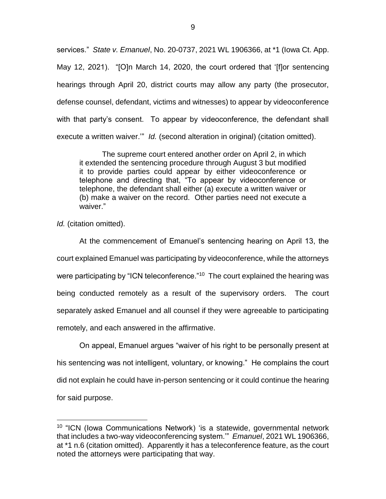services." *State v. Emanuel*, No. 20-0737, 2021 WL 1906366, at \*1 (Iowa Ct. App. May 12, 2021). "[O]n March 14, 2020, the court ordered that '[f]or sentencing hearings through April 20, district courts may allow any party (the prosecutor, defense counsel, defendant, victims and witnesses) to appear by videoconference with that party's consent. To appear by videoconference, the defendant shall execute a written waiver.'" *Id.* (second alteration in original) (citation omitted).

The supreme court entered another order on April 2, in which it extended the sentencing procedure through August 3 but modified it to provide parties could appear by either videoconference or telephone and directing that, "To appear by videoconference or telephone, the defendant shall either (a) execute a written waiver or (b) make a waiver on the record. Other parties need not execute a waiver."

*Id.* (citation omitted).

 $\overline{a}$ 

At the commencement of Emanuel's sentencing hearing on April 13, the court explained Emanuel was participating by videoconference, while the attorneys were participating by "ICN teleconference."<sup>10</sup> The court explained the hearing was being conducted remotely as a result of the supervisory orders. The court separately asked Emanuel and all counsel if they were agreeable to participating remotely, and each answered in the affirmative.

On appeal, Emanuel argues "waiver of his right to be personally present at his sentencing was not intelligent, voluntary, or knowing." He complains the court did not explain he could have in-person sentencing or it could continue the hearing for said purpose.

<sup>&</sup>lt;sup>10</sup> "ICN (lowa Communications Network) 'is a statewide, governmental network that includes a two-way videoconferencing system.'" *Emanuel*, 2021 WL 1906366, at \*1 n.6 (citation omitted). Apparently it has a teleconference feature, as the court noted the attorneys were participating that way.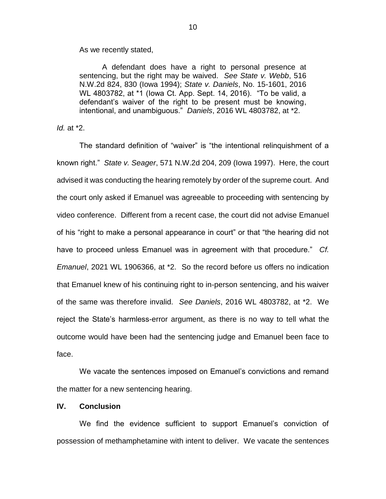As we recently stated,

A defendant does have a right to personal presence at sentencing, but the right may be waived. *See State v. Webb*, 516 N.W.2d 824, 830 (Iowa 1994); *State v. Daniels*, No. 15-1601, 2016 WL 4803782, at \*1 (Iowa Ct. App. Sept. 14, 2016). "To be valid, a defendant's waiver of the right to be present must be knowing, intentional, and unambiguous." *Daniels*, 2016 WL 4803782, at \*2.

*Id.* at \*2.

The standard definition of "waiver" is "the intentional relinquishment of a known right." *State v. Seager*, 571 N.W.2d 204, 209 (Iowa 1997). Here, the court advised it was conducting the hearing remotely by order of the supreme court. And the court only asked if Emanuel was agreeable to proceeding with sentencing by video conference. Different from a recent case, the court did not advise Emanuel of his "right to make a personal appearance in court" or that "the hearing did not have to proceed unless Emanuel was in agreement with that procedure." *Cf. Emanuel*, 2021 WL 1906366, at \*2. So the record before us offers no indication that Emanuel knew of his continuing right to in-person sentencing, and his waiver of the same was therefore invalid. *See Daniels*, 2016 WL 4803782, at \*2. We reject the State's harmless-error argument, as there is no way to tell what the outcome would have been had the sentencing judge and Emanuel been face to face.

We vacate the sentences imposed on Emanuel's convictions and remand the matter for a new sentencing hearing.

### **IV. Conclusion**

We find the evidence sufficient to support Emanuel's conviction of possession of methamphetamine with intent to deliver. We vacate the sentences